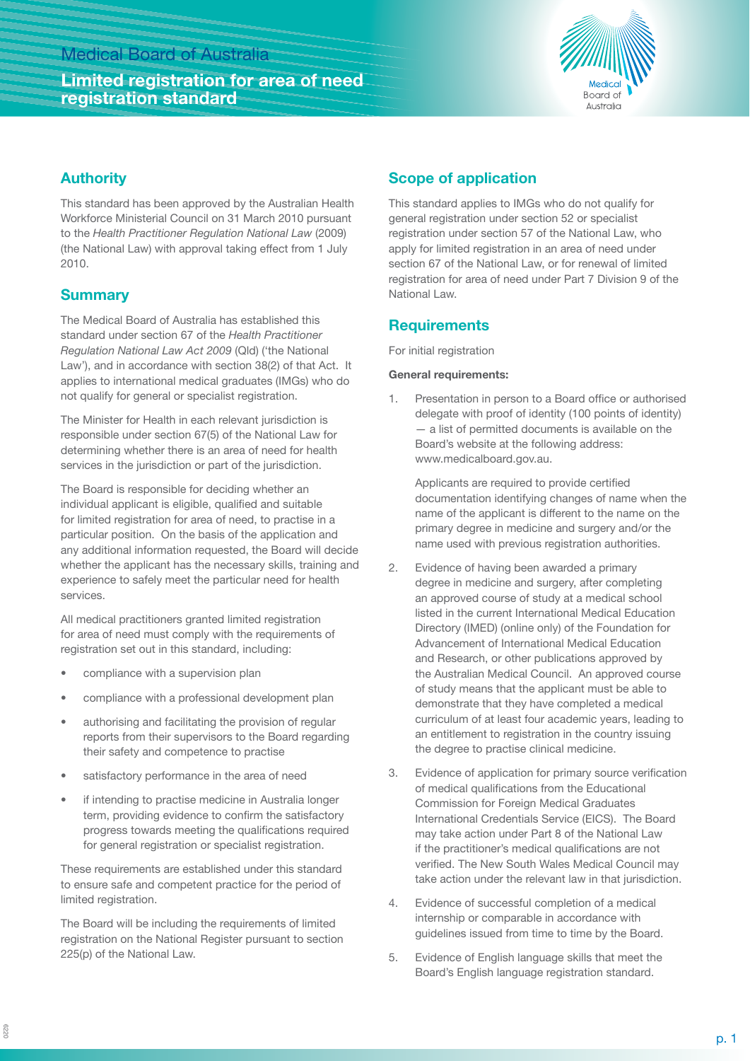# **Limited registration for area of need registration standard**



## **Authority**

This standard has been approved by the Australian Health Workforce Ministerial Council on 31 March 2010 pursuant to the *Health Practitioner Regulation National Law* (2009) (the National Law) with approval taking effect from 1 July 2010.

## **Summary**

The Medical Board of Australia has established this standard under section 67 of the *Health Practitioner Regulation National Law Act 2009* (Qld) ('the National Law'), and in accordance with section 38(2) of that Act. It applies to international medical graduates (IMGs) who do not qualify for general or specialist registration.

The Minister for Health in each relevant jurisdiction is responsible under section 67(5) of the National Law for determining whether there is an area of need for health services in the jurisdiction or part of the jurisdiction.

The Board is responsible for deciding whether an individual applicant is eligible, qualified and suitable for limited registration for area of need, to practise in a particular position. On the basis of the application and any additional information requested, the Board will decide whether the applicant has the necessary skills, training and experience to safely meet the particular need for health services.

All medical practitioners granted limited registration for area of need must comply with the requirements of registration set out in this standard, including:

- compliance with a supervision plan
- compliance with a professional development plan
- authorising and facilitating the provision of regular reports from their supervisors to the Board regarding their safety and competence to practise
- satisfactory performance in the area of need
- if intending to practise medicine in Australia longer term, providing evidence to confirm the satisfactory progress towards meeting the qualifications required for general registration or specialist registration.

These requirements are established under this standard to ensure safe and competent practice for the period of limited registration.

The Board will be including the requirements of limited registration on the National Register pursuant to section 225(p) of the National Law.

# **Scope of application**

This standard applies to IMGs who do not qualify for general registration under section 52 or specialist registration under section 57 of the National Law, who apply for limited registration in an area of need under section 67 of the National Law, or for renewal of limited registration for area of need under Part 7 Division 9 of the National Law.

## **Requirements**

For initial registration

### **General requirements:**

1. Presentation in person to a Board office or authorised delegate with proof of identity (100 points of identity) — a list of permitted documents is available on the Board's website at the following address: www.medicalboard.gov.au.

Applicants are required to provide certified documentation identifying changes of name when the name of the applicant is different to the name on the primary degree in medicine and surgery and/or the name used with previous registration authorities.

- 2. Evidence of having been awarded a primary degree in medicine and surgery, after completing an approved course of study at a medical school listed in the current International Medical Education Directory (IMED) (online only) of the Foundation for Advancement of International Medical Education and Research, or other publications approved by the Australian Medical Council. An approved course of study means that the applicant must be able to demonstrate that they have completed a medical curriculum of at least four academic years, leading to an entitlement to registration in the country issuing the degree to practise clinical medicine.
- 3. Evidence of application for primary source verification of medical qualifications from the Educational Commission for Foreign Medical Graduates International Credentials Service (EICS). The Board may take action under Part 8 of the National Law if the practitioner's medical qualifications are not verified. The New South Wales Medical Council may take action under the relevant law in that jurisdiction.
- 4. Evidence of successful completion of a medical internship or comparable in accordance with guidelines issued from time to time by the Board.
- 5. Evidence of English language skills that meet the Board's English language registration standard.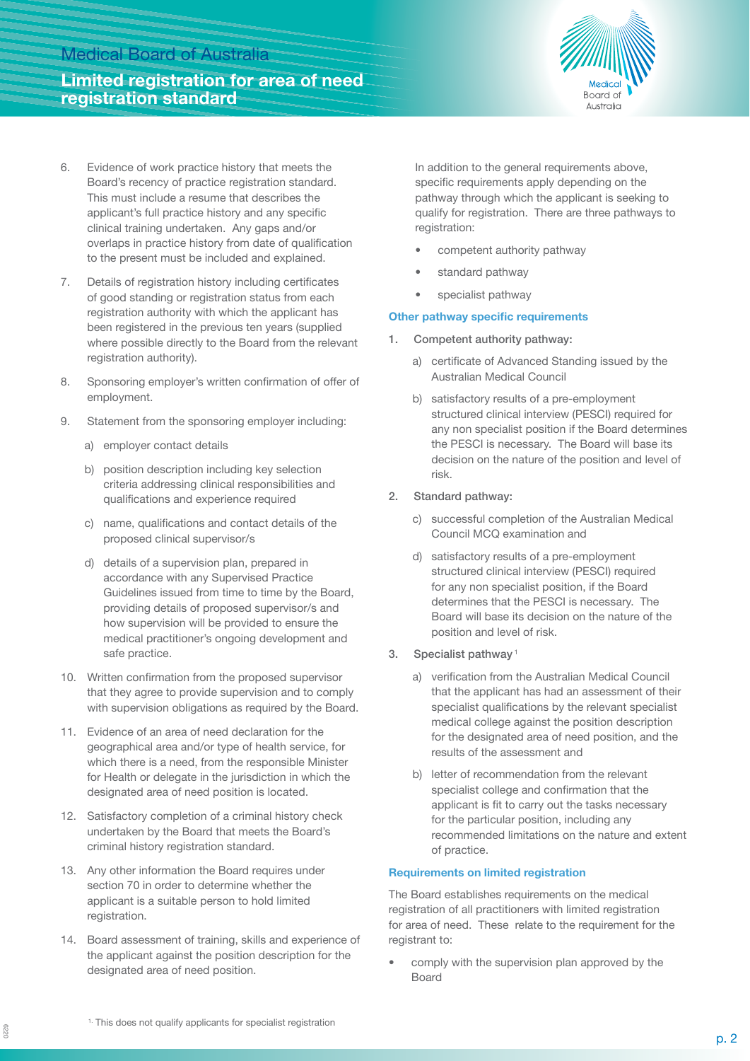# **Limited registration for area of need registration standard**



- 6. Evidence of work practice history that meets the Board's recency of practice registration standard. This must include a resume that describes the applicant's full practice history and any specific clinical training undertaken. Any gaps and/or overlaps in practice history from date of qualification to the present must be included and explained.
- 7. Details of registration history including certificates of good standing or registration status from each registration authority with which the applicant has been registered in the previous ten years (supplied where possible directly to the Board from the relevant registration authority).
- 8. Sponsoring employer's written confirmation of offer of employment.
- 9. Statement from the sponsoring employer including:
	- a) employer contact details
	- b) position description including key selection criteria addressing clinical responsibilities and qualifications and experience required
	- c) name, qualifications and contact details of the proposed clinical supervisor/s
	- d) details of a supervision plan, prepared in accordance with any Supervised Practice Guidelines issued from time to time by the Board, providing details of proposed supervisor/s and how supervision will be provided to ensure the medical practitioner's ongoing development and safe practice.
- 10. Written confirmation from the proposed supervisor that they agree to provide supervision and to comply with supervision obligations as required by the Board.
- 11. Evidence of an area of need declaration for the geographical area and/or type of health service, for which there is a need, from the responsible Minister for Health or delegate in the jurisdiction in which the designated area of need position is located.
- 12. Satisfactory completion of a criminal history check undertaken by the Board that meets the Board's criminal history registration standard.
- 13. Any other information the Board requires under section 70 in order to determine whether the applicant is a suitable person to hold limited registration.
- 14. Board assessment of training, skills and experience of the applicant against the position description for the designated area of need position.

In addition to the general requirements above, specific requirements apply depending on the pathway through which the applicant is seeking to qualify for registration. There are three pathways to registration:

- competent authority pathway
- standard pathway
- specialist pathway

### **Other pathway specific requirements**

- Competent authority pathway:
	- a) certificate of Advanced Standing issued by the Australian Medical Council
	- b) satisfactory results of a pre-employment structured clinical interview (PESCI) required for any non specialist position if the Board determines the PESCI is necessary. The Board will base its decision on the nature of the position and level of risk.
- 2. Standard pathway:
	- c) successful completion of the Australian Medical Council MCQ examination and
	- d) satisfactory results of a pre-employment structured clinical interview (PESCI) required for any non specialist position, if the Board determines that the PESCI is necessary. The Board will base its decision on the nature of the position and level of risk.
- 3. Specialist pathway<sup>1</sup>
	- a) verification from the Australian Medical Council that the applicant has had an assessment of their specialist qualifications by the relevant specialist medical college against the position description for the designated area of need position, and the results of the assessment and
	- b) letter of recommendation from the relevant specialist college and confirmation that the applicant is fit to carry out the tasks necessary for the particular position, including any recommended limitations on the nature and extent of practice.

### **Requirements on limited registration**

The Board establishes requirements on the medical registration of all practitioners with limited registration for area of need. These relate to the requirement for the registrant to:

• comply with the supervision plan approved by the Board

6220